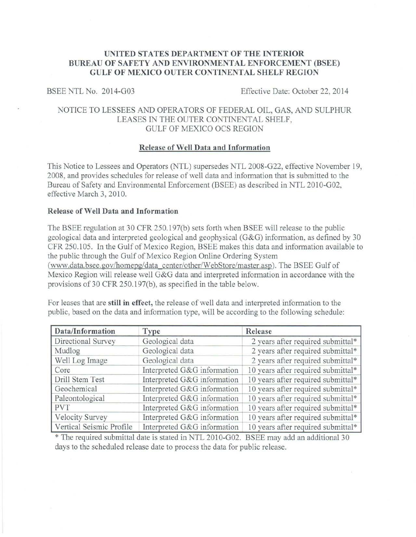## **UNITED STATES DEPARTMENT OF THE INTERIOR** BUREAU OF SAFETY AND ENVIRONMENTAL ENFORCEMENT (BSEE) **GULF OF MEXICO OUTER CONTINENTAL SHELF REGION**

BSEE NTL No. 2014-G03 Effective Date: October 22, 2014

# NOTICE TO LESSEES AND OPERATORS OF FEDERAL OIL, GAS, AND SULPHUR LEASES IN THE OUTER CONTINENTAL SHELF, GULF OF MEXICO OCS REGION

#### **Release of Well Data and Information**

This Notice to Lessees and Operators (NTL) supersedes NTL 2008-G22, effective November 19, 2008, and provides schedules for release of well data and information that is submitted to the Bureau of Safety and Environmental Enforcement (BSEE) as described in NTL 2010-G02, effective March 3, 2010.

### **Release of Well Data and Information**

The BSEE regulation at 30 CFR 250.197(b) sets forth when BSEE will release to the public geological data and interpreted geological and geophysical (G&G) information, as defined by 30 CFR 250.105. In the Gulf of Mexico Region, BSEE makes this data and information available to the public through the Gulf of Mexico Region Online Ordering System (www.data.bsee.gov/homepg/data center/other/WebStore/master.asp). The BSEE Gulf of Mexico Region will release well G&G data and interpreted information in accordance with the provisions of 30 CFR 250.197(b), as specified in the table below.

For leases that are **still in effect,** the release of well data and interpreted information to the public, based on the data and information type, will be according to the following schedule:

| Data/Information         | <b>Type</b>                 | Release                            |
|--------------------------|-----------------------------|------------------------------------|
| Directional Survey       | Geological data             | 2 years after required submittal*  |
| Mudlog                   | Geological data             | 2 years after required submittal*  |
| Well Log Image           | Geological data             | 2 years after required submittal*  |
| Core                     | Interpreted G&G information | 10 years after required submittal* |
| Drill Stem Test          | Interpreted G&G information | 10 years after required submittal* |
| Geochemical              | Interpreted G&G information | 10 years after required submittal* |
| Paleontological          | Interpreted G&G information | 10 years after required submittal* |
| <b>PVT</b>               | Interpreted G&G information | 10 years after required submittal* |
| <b>Velocity Survey</b>   | Interpreted G&G information | 10 years after required submittal* |
| Vertical Seismic Profile | Interpreted G&G information | 10 years after required submittal* |

\*The required submittal date is stated in NTL 2010-G02. BSEE may add an additional 30 days to the scheduled release date to process the data for public release.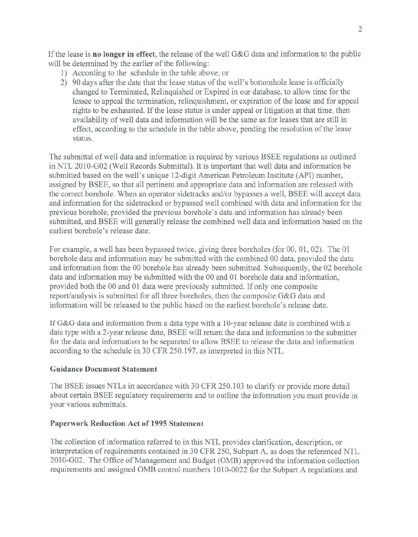If the lease is **no longer in effect**, the release of the well G&G data and information to the public will be determined by the earlier of the following:

- 1) According to the schedule in the table above; or
- 2) 90 days after the date that the lease status of the well's bottomhole lease is officially changed to Terminated, Relinquished or Expired in our database, to allow time for the lessee to appeal the termination, relinquishment, or expiration of the lease and for appeal rights to be exhausted. If the lease status is under appeal or litigation at that time, then availability of well data and information will be the same as for leases that are still in effect, according to the schedule in the table above, pending the resolution of the lease status.

The submittal of well data and information is required by various BSEE regulations as outlined in NTL 2010-G02 (Well Records Submittal). It is important that well data and information be submitted based on the well's unique 12-digit American Petroleum Institute (API) number, assigned by BSEE, so that all pertinent and appropriate data and information are released with the correct borehole. When an operator sidetracks and/or bypasses a well, BSEE will accept data and information for the sidetracked or bypassed well combined with data and information for the previous borehole, provided the previous borehole's data and information has already been submitted, and BSEE will generally release the combined well data and information based on the earliest borehole's release date.

For example, a well has been bypassed twice, giving three boreholes (for 00, 01, 02). The 01 borehole data and information may be submitted with the combined 00 data, provided the data and information from the 00 borehole has already been submitted. Subsequently, the 02 borehole data and information may be submitted with the 00 and 01 borehole data and information, provided both the 00 and 01 data were previously submitted. If only one composite report/analysis is submitted for all three boreholes, then the composite G&G data and information will be released to the public based on the earliest borehole's release date.

IfG&G data and information from a data type with a 10-year release date is combined with a data type with a 2-year release date, BSEE will return the data and information to the submitter for the data and information to be separated to allow BSEE to release the data and information according to the schedule in 30 CFR 250.197, as interpreted in this NTL.

## **Guidance Document Statement**

The BSEE issues NTLs in accordance with 30 CFR 250.103 to clarify or provide more detail about certain BSEE regulatory requirements and to outline the information you must provide in your various submittals.

# **Paperwork Reduction Act of 1995 Statement**

The collection of information referred to in this NTL provides clarification, description, or interpretation of requirements contained in 30 CFR 250, Subpart A, as does the referenced NTL 2010-G02. The Office of Management and Budget (OMB) approved the information collection requirements and assigned OMB control numbers 1010-0022 for the Subpart A regulations and